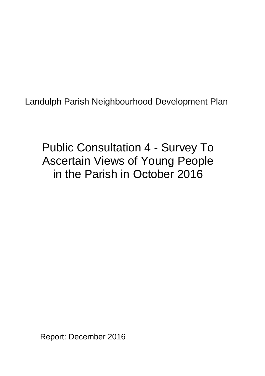Landulph Parish Neighbourhood Development Plan

Public Consultation 4 - Survey To Ascertain Views of Young People in the Parish in October 2016

Report: December 2016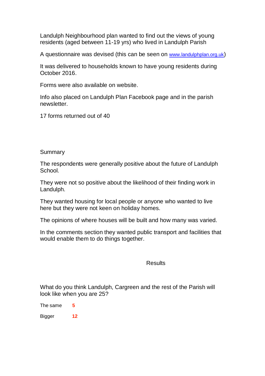Landulph Neighbourhood plan wanted to find out the views of young residents (aged between 11-19 yrs) who lived in Landulph Parish

A questionnaire was devised (this can be seen on [www.landulphplan.org.uk](http://www.landulphplan.org.uk/))

It was delivered to households known to have young residents during October 2016.

Forms were also available on website.

Info also placed on Landulph Plan Facebook page and in the parish newsletter.

17 forms returned out of 40

Summary

The respondents were generally positive about the future of Landulph School.

They were not so positive about the likelihood of their finding work in Landulph.

They wanted housing for local people or anyone who wanted to live here but they were not keen on holiday homes.

The opinions of where houses will be built and how many was varied.

In the comments section they wanted public transport and facilities that would enable them to do things together.

## Results

What do you think Landulph, Cargreen and the rest of the Parish will look like when you are 25?

The same **5**

Bigger **12**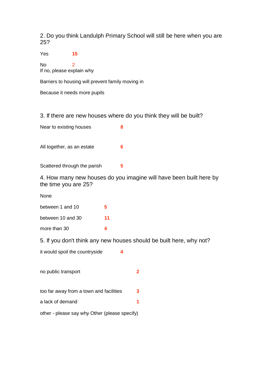2. Do you think Landulph Primary School will still be here when you are 25?

Yes **15**

No 2 If no, please explain why

Barriers to housing will prevent family moving in

Because it needs more pupils

3. If there are new houses where do you think they will be built?

| Near to existing houses    | 8 |
|----------------------------|---|
|                            |   |
|                            |   |
|                            |   |
| All together, as an estate | 6 |
|                            |   |
|                            |   |

Scattered through the parish **5**

4. How many new houses do you imagine will have been built here by the time you are 25?

None

| between 1 and 10  | 5  |
|-------------------|----|
| between 10 and 30 | 11 |
| more than 30      |    |

5. If you don't think any new houses should be built here, why not?

it would spoil the countryside **4**

| no public transport                           |   |  |
|-----------------------------------------------|---|--|
| too far away from a town and facilities       | 3 |  |
| a lack of demand                              |   |  |
| other - please say why Other (please specify) |   |  |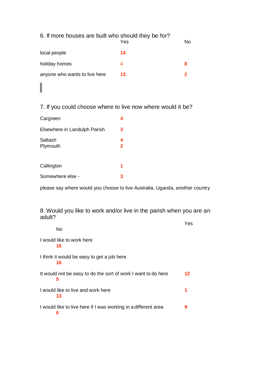## 6. If more houses are built who should they be for?

|                               | Yes | No |
|-------------------------------|-----|----|
| local people                  | 14  |    |
| holiday homes                 | 4   | 8  |
| anyone who wants to live here | 13  | 2  |

## 7. If you could choose where to live now where would it be?

| Cargreen                     |                              |
|------------------------------|------------------------------|
| Elsewhere in Landulph Parish | 3                            |
| Saltash<br>Plymouth          | 4<br>$\overline{\mathbf{2}}$ |
| Callington                   | 1                            |
| Somewhere else -             |                              |

I

please say where would you choose to live Australia, Uganda, another country

## 8. Would you like to work and/or live in the parish when you are an adult?

|                                                                     | Yes |
|---------------------------------------------------------------------|-----|
| No                                                                  |     |
| I would like to work here<br>16                                     |     |
| I think it would be easy to get a job here<br>16                    |     |
| It would not be easy to do the sort of work I want to do here<br>5  | 12  |
| I would like to live and work here<br>13                            | 1   |
| I would like to live here if I was working in a different area<br>6 | 9   |